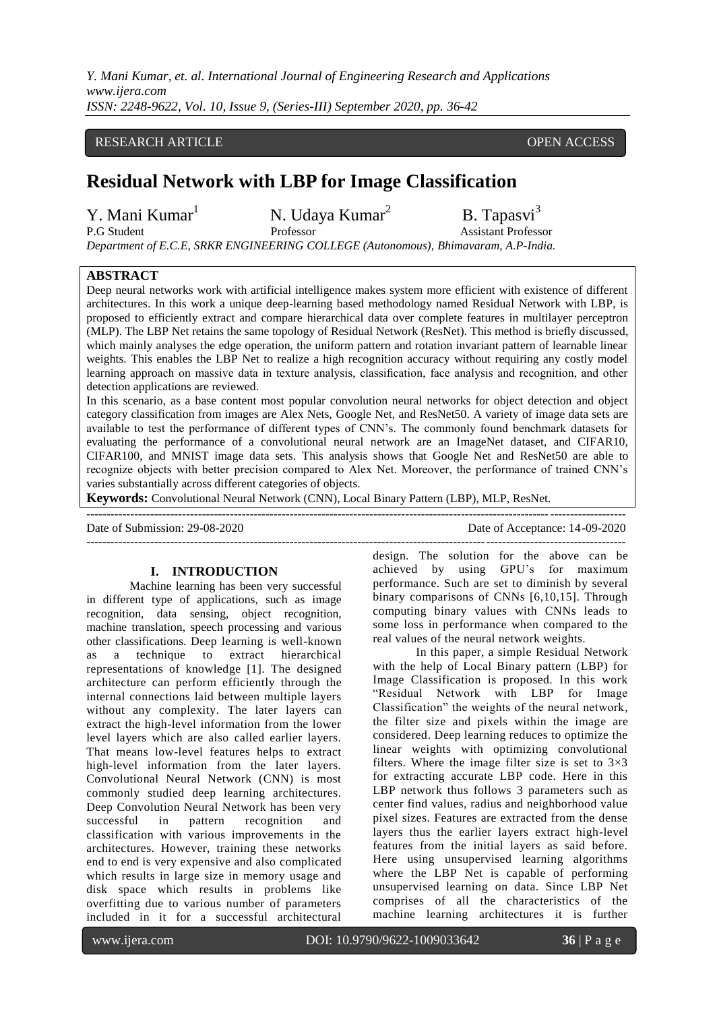*Y. Mani Kumar, et. al. International Journal of Engineering Research and Applications www.ijera.com ISSN: 2248-9622, Vol. 10, Issue 9, (Series-III) September 2020, pp. 36-42*

# RESEARCH ARTICLE **CONSERVERS** OPEN ACCESS

# **Residual Network with LBP for Image Classification**

Y. Mani Kumar<sup>1</sup><br>P.G Student N. Udaya Kumar<sup>2</sup> B. Tapasvi<sup>3</sup> Professor Assistant Professor *Department of E.C.E, SRKR ENGINEERING COLLEGE (Autonomous), Bhimavaram, A.P-India.*

#### **ABSTRACT**

Deep neural networks work with artificial intelligence makes system more efficient with existence of different architectures. In this work a unique deep-learning based methodology named Residual Network with LBP, is proposed to efficiently extract and compare hierarchical data over complete features in multilayer perceptron (MLP). The LBP Net retains the same topology of Residual Network (ResNet). This method is briefly discussed, which mainly analyses the edge operation, the uniform pattern and rotation invariant pattern of learnable linear weights. This enables the LBP Net to realize a high recognition accuracy without requiring any costly model learning approach on massive data in texture analysis, classification, face analysis and recognition, and other detection applications are reviewed.

In this scenario, as a base content most popular convolution neural networks for object detection and object category classification from images are Alex Nets, Google Net, and ResNet50. A variety of image data sets are available to test the performance of different types of CNN's. The commonly found benchmark datasets for evaluating the performance of a convolutional neural network are an ImageNet dataset, and CIFAR10, CIFAR100, and MNIST image data sets. This analysis shows that Google Net and ResNet50 are able to recognize objects with better precision compared to Alex Net. Moreover, the performance of trained CNN's varies substantially across different categories of objects.

---------------------------------------------------------------------------------------------------------------------------------------

---------------------------------------------------------------------------------------------------------------------------------------

**Keywords:** Convolutional Neural Network (CNN), Local Binary Pattern (LBP), MLP, ResNet.

Date of Submission: 29-08-2020 Date of Acceptance: 14-09-2020

# **I. INTRODUCTION**

Machine learning has been very successful in different type of applications, such as image recognition, data sensing, object recognition, machine translation, speech processing and various other classifications. Deep learning is well-known as a technique to extract hierarchical representations of knowledge [1]. The designed architecture can perform efficiently through the internal connections laid between multiple layers without any complexity. The later layers can extract the high-level information from the lower level layers which are also called earlier layers. That means low-level features helps to extract high-level information from the later layers. Convolutional Neural Network (CNN) is most commonly studied deep learning architectures. Deep Convolution Neural Network has been very successful in pattern recognition and classification with various improvements in the architectures. However, training these networks end to end is very expensive and also complicated which results in large size in memory usage and disk space which results in problems like overfitting due to various number of parameters included in it for a successful architectural

design. The solution for the above can be achieved by using GPU's for maximum performance. Such are set to diminish by several binary comparisons of CNNs [6,10,15]. Through computing binary values with CNNs leads to some loss in performance when compared to the real values of the neural network weights.

In this paper, a simple Residual Network with the help of Local Binary pattern (LBP) for Image Classification is proposed. In this work "Residual Network with LBP for Image Classification" the weights of the neural network, the filter size and pixels within the image are considered. Deep learning reduces to optimize the linear weights with optimizing convolutional filters. Where the image filter size is set to  $3\times3$ for extracting accurate LBP code. Here in this LBP network thus follows 3 parameters such as center find values, radius and neighborhood value pixel sizes. Features are extracted from the dense layers thus the earlier layers extract high-level features from the initial layers as said before. Here using unsupervised learning algorithms where the LBP Net is capable of performing unsupervised learning on data. Since LBP Net comprises of all the characteristics of the machine learning architectures it is further

www.ijera.com DOI: 10.9790/9622-1009033642 **36** | P a g e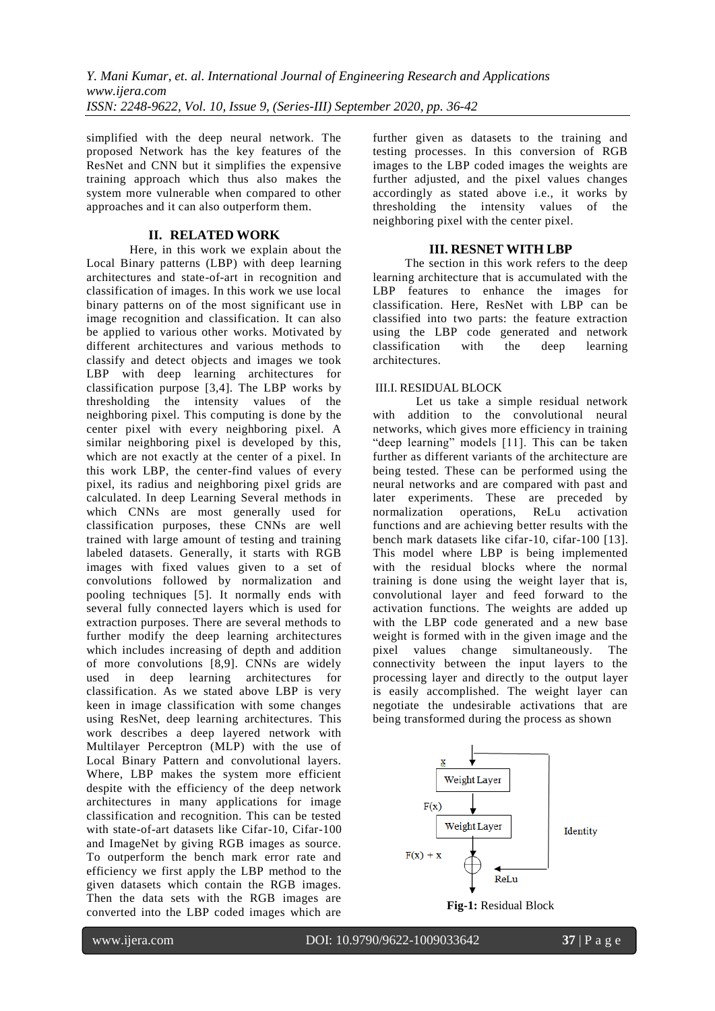simplified with the deep neural network. The proposed Network has the key features of the ResNet and CNN but it simplifies the expensive training approach which thus also makes the system more vulnerable when compared to other approaches and it can also outperform them.

# **II. RELATED WORK**

Here, in this work we explain about the Local Binary patterns (LBP) with deep learning architectures and state-of-art in recognition and classification of images. In this work we use local binary patterns on of the most significant use in image recognition and classification. It can also be applied to various other works. Motivated by different architectures and various methods to classify and detect objects and images we took LBP with deep learning architectures for classification purpose [3,4]. The LBP works by thresholding the intensity values of the neighboring pixel. This computing is done by the center pixel with every neighboring pixel. A similar neighboring pixel is developed by this, which are not exactly at the center of a pixel. In this work LBP, the center-find values of every pixel, its radius and neighboring pixel grids are calculated. In deep Learning Several methods in which CNNs are most generally used for classification purposes, these CNNs are well trained with large amount of testing and training labeled datasets. Generally, it starts with RGB images with fixed values given to a set of convolutions followed by normalization and pooling techniques [5]. It normally ends with several fully connected layers which is used for extraction purposes. There are several methods to further modify the deep learning architectures which includes increasing of depth and addition of more convolutions [8,9]. CNNs are widely used in deep learning architectures for classification. As we stated above LBP is very keen in image classification with some changes using ResNet, deep learning architectures. This work describes a deep layered network with Multilayer Perceptron (MLP) with the use of Local Binary Pattern and convolutional layers. Where, LBP makes the system more efficient despite with the efficiency of the deep network architectures in many applications for image classification and recognition. This can be tested with state-of-art datasets like Cifar-10, Cifar-100 and ImageNet by giving RGB images as source. To outperform the bench mark error rate and efficiency we first apply the LBP method to the given datasets which contain the RGB images. Then the data sets with the RGB images are converted into the LBP coded images which are

further given as datasets to the training and testing processes. In this conversion of RGB images to the LBP coded images the weights are further adjusted, and the pixel values changes accordingly as stated above i.e., it works by thresholding the intensity values of the neighboring pixel with the center pixel.

# **III. RESNET WITH LBP**

 The section in this work refers to the deep learning architecture that is accumulated with the LBP features to enhance the images for classification. Here, ResNet with LBP can be classified into two parts: the feature extraction using the LBP code generated and network<br>classification with the deep learning classification with the deep learning architectures.

# III.I. RESIDUAL BLOCK

Let us take a simple residual network with addition to the convolutional neural networks, which gives more efficiency in training "deep learning" models [11]. This can be taken further as different variants of the architecture are being tested. These can be performed using the neural networks and are compared with past and later experiments. These are preceded by normalization operations, ReLu activation functions and are achieving better results with the bench mark datasets like cifar-10, cifar-100 [13]. This model where LBP is being implemented with the residual blocks where the normal training is done using the weight layer that is, convolutional layer and feed forward to the activation functions. The weights are added up with the LBP code generated and a new base weight is formed with in the given image and the pixel values change simultaneously. The connectivity between the input layers to the processing layer and directly to the output layer is easily accomplished. The weight layer can negotiate the undesirable activations that are being transformed during the process as shown

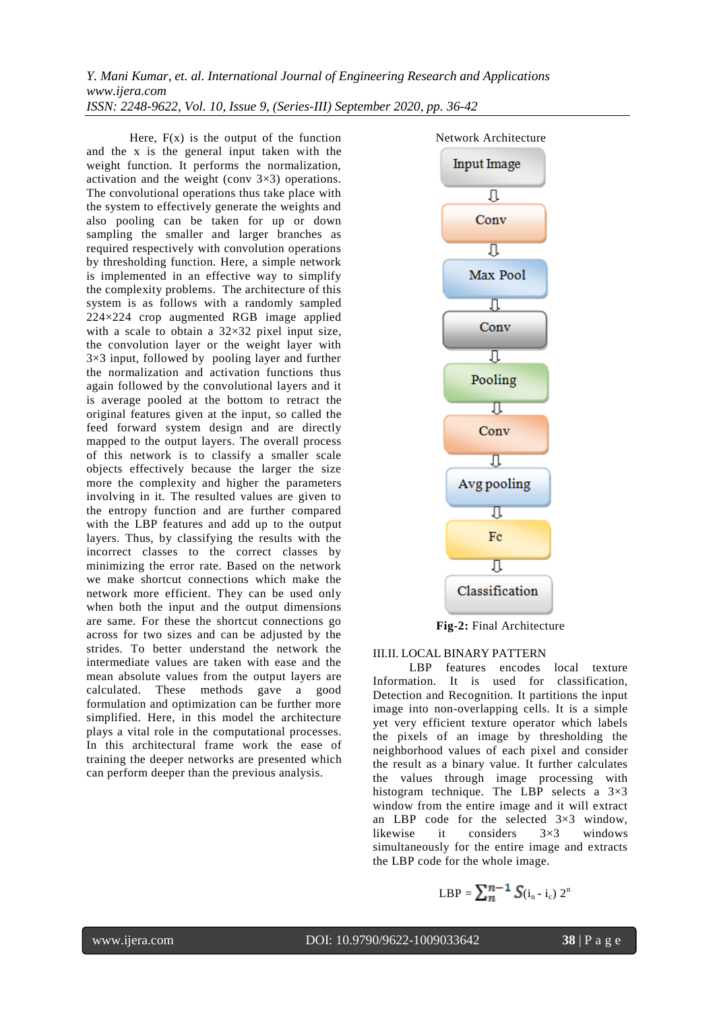*Y. Mani Kumar, et. al. International Journal of Engineering Research and Applications www.ijera.com ISSN: 2248-9622, Vol. 10, Issue 9, (Series-III) September 2020, pp. 36-42*

Here,  $F(x)$  is the output of the function and the x is the general input taken with the weight function. It performs the normalization, activation and the weight (conv 3×3) operations. The convolutional operations thus take place with the system to effectively generate the weights and also pooling can be taken for up or down sampling the smaller and larger branches as required respectively with convolution operations by thresholding function. Here, a simple network is implemented in an effective way to simplify the complexity problems. The architecture of this system is as follows with a randomly sampled 224×224 crop augmented RGB image applied with a scale to obtain a  $32\times32$  pixel input size, the convolution layer or the weight layer with 3×3 input, followed by pooling layer and further the normalization and activation functions thus again followed by the convolutional layers and it is average pooled at the bottom to retract the original features given at the input, so called the feed forward system design and are directly mapped to the output layers. The overall process of this network is to classify a smaller scale objects effectively because the larger the size more the complexity and higher the parameters involving in it. The resulted values are given to the entropy function and are further compared with the LBP features and add up to the output layers. Thus, by classifying the results with the incorrect classes to the correct classes by minimizing the error rate. Based on the network we make shortcut connections which make the network more efficient. They can be used only when both the input and the output dimensions are same. For these the shortcut connections go across for two sizes and can be adjusted by the strides. To better understand the network the intermediate values are taken with ease and the mean absolute values from the output layers are calculated. These methods gave a good formulation and optimization can be further more simplified. Here, in this model the architecture plays a vital role in the computational processes. In this architectural frame work the ease of training the deeper networks are presented which can perform deeper than the previous analysis.



**Fig-2:** Final Architecture

#### III.II. LOCAL BINARY PATTERN

 LBP features encodes local texture Information. It is used for classification, Detection and Recognition. It partitions the input image into non-overlapping cells. It is a simple yet very efficient texture operator which labels the pixels of an image by thresholding the neighborhood values of each pixel and consider the result as a binary value. It further calculates the values through image processing with histogram technique. The LBP selects a 3×3 window from the entire image and it will extract an LBP code for the selected  $3\times3$  window, likewise it considers 3×3 windows simultaneously for the entire image and extracts the LBP code for the whole image.

$$
LBP = \sum_{n=1}^{n-1} S(i_n - i_c) 2^n
$$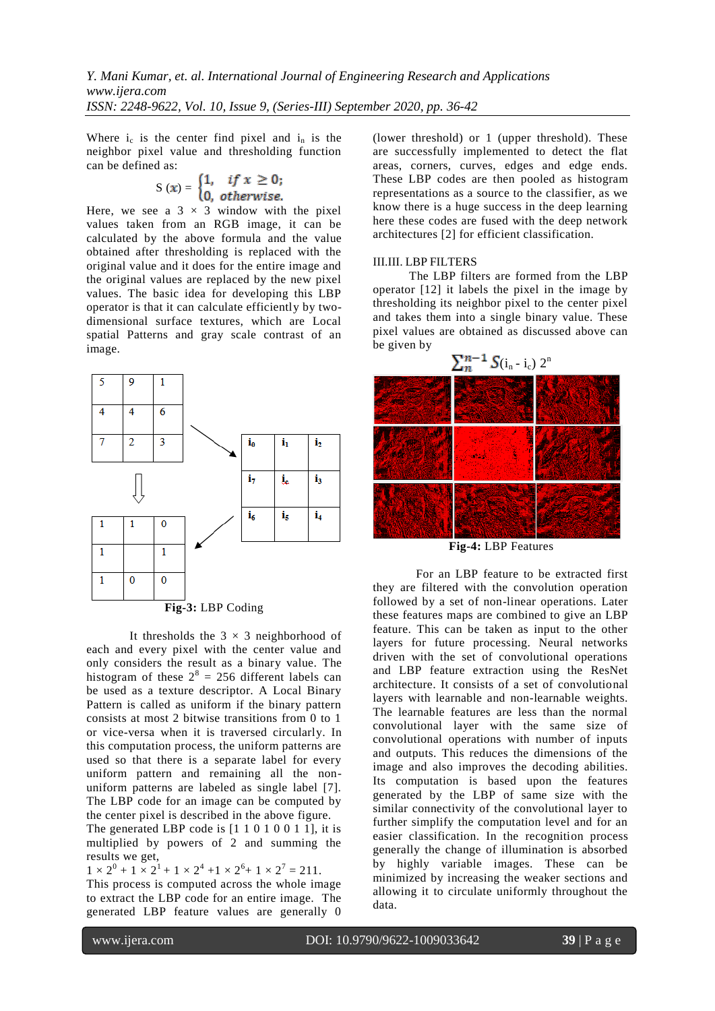Where  $i_c$  is the center find pixel and  $i_n$  is the neighbor pixel value and thresholding function can be defined as:

$$
S(x) = \begin{cases} 1, & if x \ge 0; \\ 0, & otherwise. \end{cases}
$$

Here, we see a  $3 \times 3$  window with the pixel values taken from an RGB image, it can be calculated by the above formula and the value obtained after thresholding is replaced with the original value and it does for the entire image and the original values are replaced by the new pixel values. The basic idea for developing this LBP operator is that it can calculate efficiently by twodimensional surface textures, which are Local spatial Patterns and gray scale contrast of an image.





It thresholds the  $3 \times 3$  neighborhood of each and every pixel with the center value and only considers the result as a binary value. The histogram of these  $2^8 = 256$  different labels can be used as a texture descriptor. A Local Binary Pattern is called as uniform if the binary pattern consists at most 2 bitwise transitions from 0 to 1 or vice-versa when it is traversed circularly. In this computation process, the uniform patterns are used so that there is a separate label for every uniform pattern and remaining all the nonuniform patterns are labeled as single label [7]. The LBP code for an image can be computed by the center pixel is described in the above figure.

The generated LBP code is  $[1 1 0 1 0 0 1 1]$ , it is multiplied by powers of 2 and summing the results we get,

 $1 \times 2^0 + 1 \times 2^1 + 1 \times 2^4 + 1 \times 2^6 + 1 \times 2^7 = 211.$ 

This process is computed across the whole image to extract the LBP code for an entire image. The generated LBP feature values are generally 0 (lower threshold) or 1 (upper threshold). These are successfully implemented to detect the flat areas, corners, curves, edges and edge ends. These LBP codes are then pooled as histogram representations as a source to the classifier, as we know there is a huge success in the deep learning here these codes are fused with the deep network architectures [2] for efficient classification.

#### III.III. LBP FILTERS

 The LBP filters are formed from the LBP operator [12] it labels the pixel in the image by thresholding its neighbor pixel to the center pixel and takes them into a single binary value. These pixel values are obtained as discussed above can be given by



**Fig-4:** LBP Features

For an LBP feature to be extracted first they are filtered with the convolution operation followed by a set of non-linear operations. Later these features maps are combined to give an LBP feature. This can be taken as input to the other layers for future processing. Neural networks driven with the set of convolutional operations and LBP feature extraction using the ResNet architecture. It consists of a set of convolutional layers with learnable and non-learnable weights. The learnable features are less than the normal convolutional layer with the same size of convolutional operations with number of inputs and outputs. This reduces the dimensions of the image and also improves the decoding abilities. Its computation is based upon the features generated by the LBP of same size with the similar connectivity of the convolutional layer to further simplify the computation level and for an easier classification. In the recognition process generally the change of illumination is absorbed by highly variable images. These can be minimized by increasing the weaker sections and allowing it to circulate uniformly throughout the data.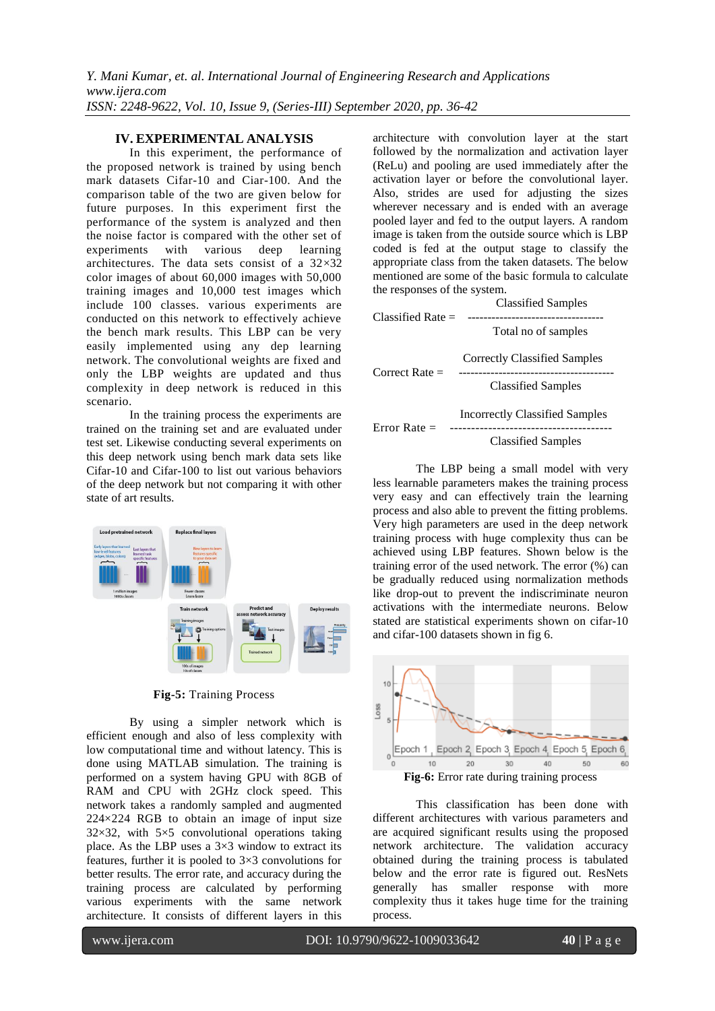# **IV. EXPERIMENTAL ANALYSIS**

In this experiment, the performance of the proposed network is trained by using bench mark datasets Cifar-10 and Ciar-100. And the comparison table of the two are given below for future purposes. In this experiment first the performance of the system is analyzed and then the noise factor is compared with the other set of experiments with various deep learning architectures. The data sets consist of a  $32\times32$ color images of about 60,000 images with 50,000 training images and 10,000 test images which include 100 classes. various experiments are conducted on this network to effectively achieve the bench mark results. This LBP can be very easily implemented using any dep learning network. The convolutional weights are fixed and only the LBP weights are updated and thus complexity in deep network is reduced in this scenario.

In the training process the experiments are trained on the training set and are evaluated under test set. Likewise conducting several experiments on this deep network using bench mark data sets like Cifar-10 and Cifar-100 to list out various behaviors of the deep network but not comparing it with other state of art results.



**Fig-5:** Training Process

By using a simpler network which is efficient enough and also of less complexity with low computational time and without latency. This is done using MATLAB simulation. The training is performed on a system having GPU with 8GB of RAM and CPU with 2GHz clock speed. This network takes a randomly sampled and augmented 224×224 RGB to obtain an image of input size  $32\times32$ , with  $5\times5$  convolutional operations taking place. As the LBP uses a 3×3 window to extract its features, further it is pooled to 3×3 convolutions for better results. The error rate, and accuracy during the training process are calculated by performing various experiments with the same network architecture. It consists of different layers in this

architecture with convolution layer at the start followed by the normalization and activation layer (ReLu) and pooling are used immediately after the activation layer or before the convolutional layer. Also, strides are used for adjusting the sizes wherever necessary and is ended with an average pooled layer and fed to the output layers. A random image is taken from the outside source which is LBP coded is fed at the output stage to classify the appropriate class from the taken datasets. The below mentioned are some of the basic formula to calculate the responses of the system.



The LBP being a small model with very less learnable parameters makes the training process very easy and can effectively train the learning process and also able to prevent the fitting problems. Very high parameters are used in the deep network training process with huge complexity thus can be achieved using LBP features. Shown below is the training error of the used network. The error (%) can be gradually reduced using normalization methods like drop-out to prevent the indiscriminate neuron activations with the intermediate neurons. Below stated are statistical experiments shown on cifar-10 and cifar-100 datasets shown in fig 6.



This classification has been done with different architectures with various parameters and are acquired significant results using the proposed network architecture. The validation accuracy obtained during the training process is tabulated below and the error rate is figured out. ResNets generally has smaller response with more complexity thus it takes huge time for the training process.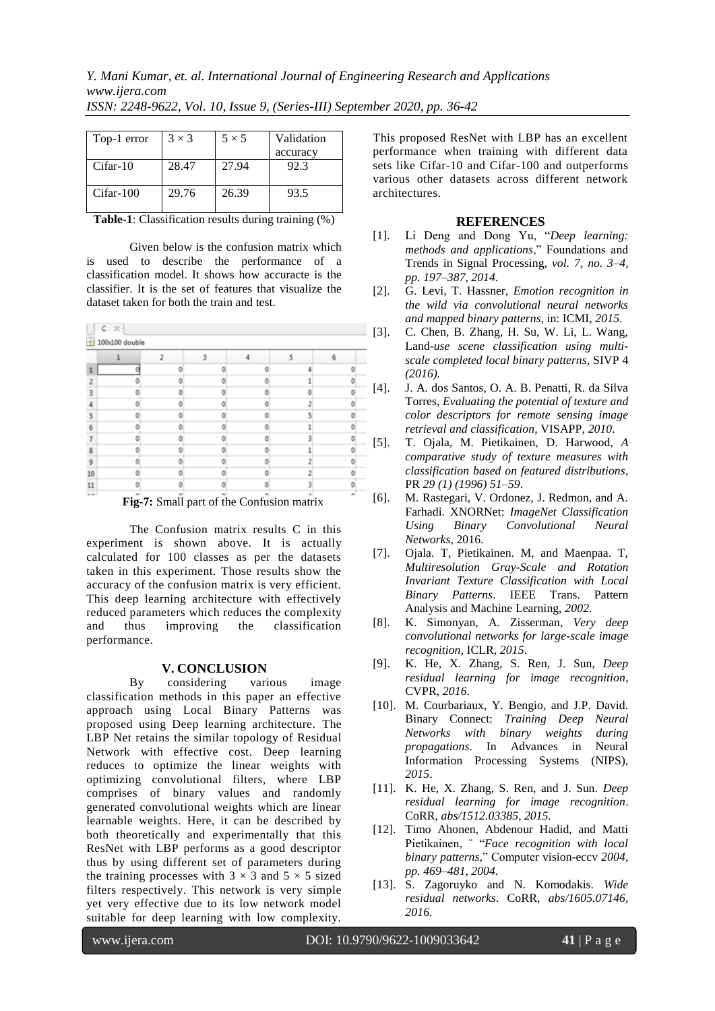| Top-1 error  | $3 \times 3$ | $5 \times 5$ | Validation |
|--------------|--------------|--------------|------------|
|              |              |              | accuracy   |
| $C$ ifar-10  | 28.47        | 27.94        | 92.3       |
| $C$ ifar-100 | 29.76        | 26.39        | 93.5       |

**Table-1**: Classification results during training  $(\%)$ 

Given below is the confusion matrix which is used to describe the performance of a classification model. It shows how accuracte is the classifier. It is the set of features that visualize the dataset taken for both the train and test.

|    | $c \times$               |   |   |   |        |
|----|--------------------------|---|---|---|--------|
|    | $\pm 100$ x $100$ double |   |   |   |        |
|    |                          | 2 | 3 | 5 | 6      |
|    |                          |   |   |   |        |
|    |                          |   |   |   |        |
|    |                          |   |   |   |        |
|    |                          |   |   |   |        |
|    |                          |   |   |   |        |
| 6  |                          |   |   |   |        |
|    |                          |   | ۵ |   |        |
| ŝ  |                          |   |   |   |        |
| 9  |                          |   |   |   |        |
| 10 |                          |   |   |   |        |
| 11 |                          |   |   |   |        |
|    |                          |   | ۰ |   | $\sim$ |

**Fig-7:** Small part of the Confusion matrix

The Confusion matrix results C in this experiment is shown above. It is actually calculated for 100 classes as per the datasets taken in this experiment. Those results show the accuracy of the confusion matrix is very efficient. This deep learning architecture with effectively reduced parameters which reduces the complexity and thus improving the classification performance.

# **V. CONCLUSION**

By considering various image classification methods in this paper an effective approach using Local Binary Patterns was proposed using Deep learning architecture. The LBP Net retains the similar topology of Residual Network with effective cost. Deep learning reduces to optimize the linear weights with optimizing convolutional filters, where LBP comprises of binary values and randomly generated convolutional weights which are linear learnable weights. Here, it can be described by both theoretically and experimentally that this ResNet with LBP performs as a good descriptor thus by using different set of parameters during the training processes with  $3 \times 3$  and  $5 \times 5$  sized filters respectively. This network is very simple yet very effective due to its low network model suitable for deep learning with low complexity.

This proposed ResNet with LBP has an excellent performance when training with different data sets like Cifar-10 and Cifar-100 and outperforms various other datasets across different network architectures.

# **REFERENCES**

- [1]. Li Deng and Dong Yu, "*Deep learning: methods and applications*," Foundations and Trends in Signal Processing, *vol. 7, no. 3–4, pp. 197–387, 2014.*
- [2]. G. Levi, T. Hassner, *Emotion recognition in the wild via convolutional neural networks and mapped binary patterns*, in: ICMI, *2015.*
- [3]. C. Chen, B. Zhang, H. Su, W. Li, L. Wang, Land-*use scene classification using multiscale completed local binary patterns*, SIVP 4 *(2016).*
- [4]. J. A. dos Santos, O. A. B. Penatti, R. da Silva Torres, *Evaluating the potential of texture and color descriptors for remote sensing image retrieval and classification*, VISAPP, *2010*.
- [5]. T. Ojala, M. Pietikainen, D. Harwood, *A comparative study of texture measures with classification based on featured distributions*, PR *29 (1) (1996) 51–59*.
- [6]. M. Rastegari, V. Ordonez, J. Redmon, and A. Farhadi. XNORNet: *ImageNet Classification Using Binary Convolutional Neural Networks*, 2016.
- [7]. Ojala. T, Pietikainen. M, and Maenpaa. T, *Multiresolution Gray-Scale and Rotation Invariant Texture Classification with Local Binary Patterns*. IEEE Trans. Pattern Analysis and Machine Learning, *2002.*
- [8]. K. Simonyan, A. Zisserman, *Very deep convolutional networks for large-scale image recognition*, ICLR, *2015*.
- [9]. K. He, X. Zhang, S. Ren, J. Sun, *Deep residual learning for image recognition*, CVPR, *2016*.
- [10]. M. Courbariaux, Y. Bengio, and J.P. David. Binary Connect: *Training Deep Neural Networks with binary weights during propagations*. In Advances in Neural Information Processing Systems (NIPS), *2015*.
- [11]. K. He, X. Zhang, S. Ren, and J. Sun. *Deep residual learning for image recognition*. CoRR, *abs/1512.03385, 2015.*
- [12]. Timo Ahonen, Abdenour Hadid, and Matti Pietikainen, ¨ "*Face recognition with local binary patterns*," Computer vision-eccv *2004, pp. 469–481, 2004.*
- [13]. S. Zagoruyko and N. Komodakis. *Wide residual networks*. CoRR, *abs/1605.07146, 2016.*